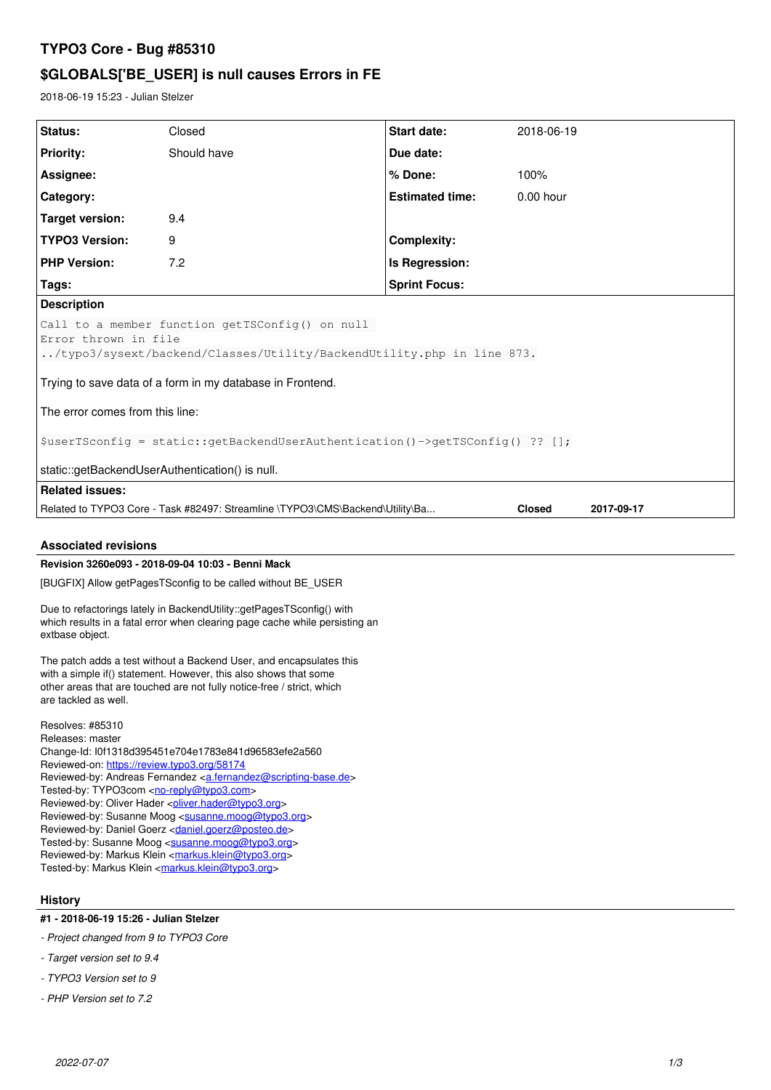# **TYPO3 Core - Bug #85310**

# **\$GLOBALS['BE\_USER] is null causes Errors in FE**

2018-06-19 15:23 - Julian Stelzer

| Status:                                                                                                                                                                                                                                                                                                                                                                                                                                                                                                                                                                                                                     | Closed      | Start date:            | 2018-06-19  |
|-----------------------------------------------------------------------------------------------------------------------------------------------------------------------------------------------------------------------------------------------------------------------------------------------------------------------------------------------------------------------------------------------------------------------------------------------------------------------------------------------------------------------------------------------------------------------------------------------------------------------------|-------------|------------------------|-------------|
| <b>Priority:</b>                                                                                                                                                                                                                                                                                                                                                                                                                                                                                                                                                                                                            | Should have | Due date:              |             |
| Assignee:                                                                                                                                                                                                                                                                                                                                                                                                                                                                                                                                                                                                                   |             | % Done:                | 100%        |
| Category:                                                                                                                                                                                                                                                                                                                                                                                                                                                                                                                                                                                                                   |             | <b>Estimated time:</b> | $0.00$ hour |
| <b>Target version:</b>                                                                                                                                                                                                                                                                                                                                                                                                                                                                                                                                                                                                      | 9.4         |                        |             |
| <b>TYPO3 Version:</b>                                                                                                                                                                                                                                                                                                                                                                                                                                                                                                                                                                                                       | 9           | <b>Complexity:</b>     |             |
| <b>PHP Version:</b>                                                                                                                                                                                                                                                                                                                                                                                                                                                                                                                                                                                                         | 7.2         | Is Regression:         |             |
| Tags:                                                                                                                                                                                                                                                                                                                                                                                                                                                                                                                                                                                                                       |             | <b>Sprint Focus:</b>   |             |
| <b>Description</b>                                                                                                                                                                                                                                                                                                                                                                                                                                                                                                                                                                                                          |             |                        |             |
| Call to a member function getTSConfig() on null<br>Error thrown in file<br>/typo3/sysext/backend/Classes/Utility/BackendUtility.php in line 873.<br>Trying to save data of a form in my database in Frontend.                                                                                                                                                                                                                                                                                                                                                                                                               |             |                        |             |
| The error comes from this line:                                                                                                                                                                                                                                                                                                                                                                                                                                                                                                                                                                                             |             |                        |             |
| \$userTSconfig = static::getBackendUserAuthentication()->getTSConfig() ?? [];                                                                                                                                                                                                                                                                                                                                                                                                                                                                                                                                               |             |                        |             |
| static::getBackendUserAuthentication() is null.                                                                                                                                                                                                                                                                                                                                                                                                                                                                                                                                                                             |             |                        |             |
| <b>Related issues:</b>                                                                                                                                                                                                                                                                                                                                                                                                                                                                                                                                                                                                      |             |                        |             |
| Related to TYPO3 Core - Task #82497: Streamline \TYPO3\CMS\Backend\Utility\Ba<br><b>Closed</b><br>2017-09-17                                                                                                                                                                                                                                                                                                                                                                                                                                                                                                                |             |                        |             |
| <b>Associated revisions</b>                                                                                                                                                                                                                                                                                                                                                                                                                                                                                                                                                                                                 |             |                        |             |
| Revision 3260e093 - 2018-09-04 10:03 - Benni Mack                                                                                                                                                                                                                                                                                                                                                                                                                                                                                                                                                                           |             |                        |             |
| [BUGFIX] Allow getPagesTSconfig to be called without BE_USER                                                                                                                                                                                                                                                                                                                                                                                                                                                                                                                                                                |             |                        |             |
| Due to refactorings lately in BackendUtility::getPagesTSconfig() with<br>which results in a fatal error when clearing page cache while persisting an<br>extbase object.                                                                                                                                                                                                                                                                                                                                                                                                                                                     |             |                        |             |
| The patch adds a test without a Backend User, and encapsulates this<br>with a simple if() statement. However, this also shows that some<br>other areas that are touched are not fully notice-free / strict, which<br>are tackled as well.                                                                                                                                                                                                                                                                                                                                                                                   |             |                        |             |
| Resolves: #85310<br>Releases: master<br>Change-Id: I0f1318d395451e704e1783e841d96583efe2a560<br>Reviewed-on: https://review.tvpo3.org/58174<br>Reviewed-by: Andreas Fernandez <a.fernandez@scripting-base.de><br/>Tested-by: TYPO3com <no-reply@typo3.com><br/>Reviewed-by: Oliver Hader &lt; oliver.hader@typo3.org&gt;<br/>Reviewed-by: Susanne Moog <susanne.moog@typo3.org><br/>Reviewed-by: Daniel Goerz <daniel.goerz@posteo.de><br/>Tested-by: Susanne Moog <susanne.moog@typo3.org></susanne.moog@typo3.org></daniel.goerz@posteo.de></susanne.moog@typo3.org></no-reply@typo3.com></a.fernandez@scripting-base.de> |             |                        |             |

# **History**

**#1 - 2018-06-19 15:26 - Julian Stelzer**

Reviewed-by: Markus Klein <[markus.klein@typo3.org](mailto:markus.klein@typo3.org)> Tested-by: Markus Klein [<markus.klein@typo3.org>](mailto:markus.klein@typo3.org)

- *Project changed from 9 to TYPO3 Core*
- *Target version set to 9.4*
- *TYPO3 Version set to 9*
- *PHP Version set to 7.2*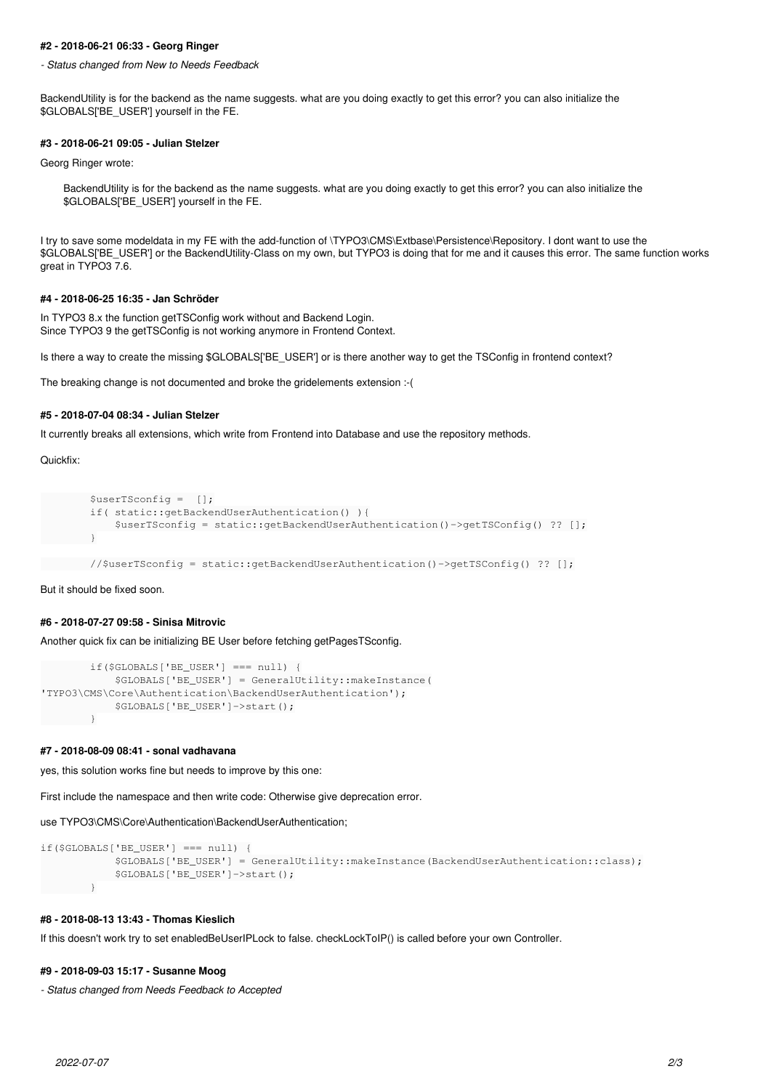#### **#2 - 2018-06-21 06:33 - Georg Ringer**

*- Status changed from New to Needs Feedback*

BackendUtility is for the backend as the name suggests. what are you doing exactly to get this error? you can also initialize the \$GLOBALS['BE\_USER'] yourself in the FE.

#### **#3 - 2018-06-21 09:05 - Julian Stelzer**

Georg Ringer wrote:

BackendUtility is for the backend as the name suggests. what are you doing exactly to get this error? you can also initialize the \$GLOBALS['BE\_USER'] yourself in the FE.

I try to save some modeldata in my FE with the add-function of \TYPO3\CMS\Extbase\Persistence\Repository. I dont want to use the \$GLOBALS['BE\_USER'] or the BackendUtility-Class on my own, but TYPO3 is doing that for me and it causes this error. The same function works great in TYPO3 7.6.

## **#4 - 2018-06-25 16:35 - Jan Schröder**

In TYPO3 8.x the function getTSConfig work without and Backend Login. Since TYPO3 9 the getTSConfig is not working anymore in Frontend Context.

Is there a way to create the missing \$GLOBALS['BE\_USER'] or is there another way to get the TSConfig in frontend context?

The breaking change is not documented and broke the gridelements extension :-(

# **#5 - 2018-07-04 08:34 - Julian Stelzer**

It currently breaks all extensions, which write from Frontend into Database and use the repository methods.

#### Quickfix:

```
        $userTSconfig =  [];
                if( static::getBackendUserAuthentication() ){
                         $userTSconfig = static::getBackendUserAuthentication()->getTSConfig() ?? [];
        }
```
//\$userTSconfig = static::getBackendUserAuthentication()->getTSConfig() ?? [];

# But it should be fixed soon.

#### **#6 - 2018-07-27 09:58 - Sinisa Mitrovic**

Another quick fix can be initializing BE User before fetching getPagesTSconfig.

```
        if($GLOBALS['BE_USER'] === null) {
                         $GLOBALS['BE_USER'] = GeneralUtility::makeInstance(
'TYPO3\CMS\Core\Authentication\BackendUserAuthentication');
                         $GLOBALS['BE_USER']->start();
                }
```
#### **#7 - 2018-08-09 08:41 - sonal vadhavana**

yes, this solution works fine but needs to improve by this one:

First include the namespace and then write code: Otherwise give deprecation error.

use TYPO3\CMS\Core\Authentication\BackendUserAuthentication;

```
if($GLOBALS['BE_USER'] === null) {
                          $GLOBALS['BE_USER'] = GeneralUtility::makeInstance(BackendUserAuthentication::class);
                          $GLOBALS['BE_USER']->start();
                 }
```
# **#8 - 2018-08-13 13:43 - Thomas Kieslich**

If this doesn't work try to set enabledBeUserIPLock to false. checkLockToIP() is called before your own Controller.

## **#9 - 2018-09-03 15:17 - Susanne Moog**

*- Status changed from Needs Feedback to Accepted*